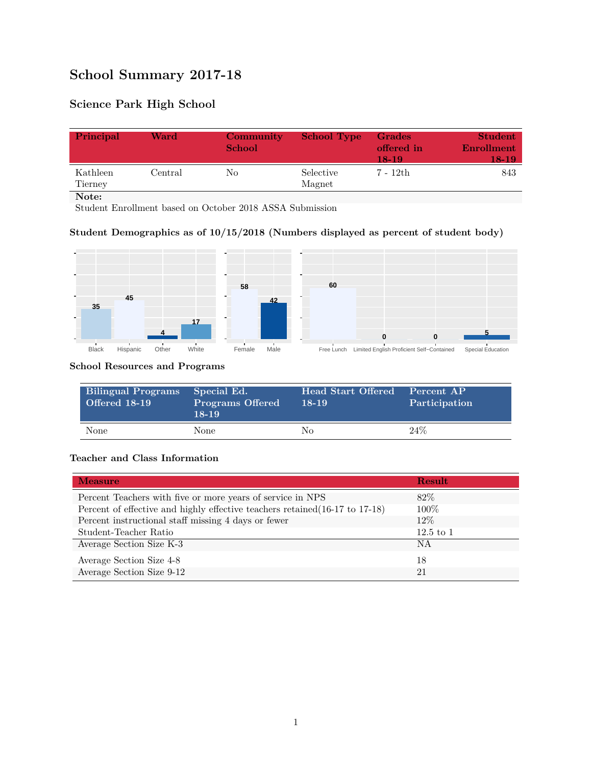# **School Summary 2017-18**

## **Science Park High School**

| Principal           | Ward    | Community<br><b>School</b> | <b>School Type</b>  | <b>Grades</b><br>offered in<br>18-19 | <b>Student</b><br>Enrollment<br>18-19 |
|---------------------|---------|----------------------------|---------------------|--------------------------------------|---------------------------------------|
| Kathleen<br>Tierney | Central | No                         | Selective<br>Magnet | 7 - 12th                             | 843                                   |
| Note:               |         |                            |                     |                                      |                                       |

Student Enrollment based on October 2018 ASSA Submission

### **Student Demographics as of 10/15/2018 (Numbers displayed as percent of student body)**



#### **School Resources and Programs**

| Bilingual Programs<br><b>Offered 18-19</b> | Special Ed.<br><b>Programs Offered</b><br>$18-19$ | Head Start Offered<br>$18-19$ | Percent AP<br>Participation |
|--------------------------------------------|---------------------------------------------------|-------------------------------|-----------------------------|
| None                                       | None                                              | Nο                            | $24\%$                      |

#### **Teacher and Class Information**

| <b>Measure</b>                                                               | Result      |
|------------------------------------------------------------------------------|-------------|
| Percent Teachers with five or more years of service in NPS                   | 82\%        |
| Percent of effective and highly effective teachers retained (16-17 to 17-18) | $100\%$     |
| Percent instructional staff missing 4 days or fewer                          | $12\%$      |
| Student-Teacher Ratio                                                        | $12.5$ to 1 |
| Average Section Size K-3                                                     | <b>NA</b>   |
| Average Section Size 4-8                                                     | 18          |
| Average Section Size 9-12                                                    | 21          |